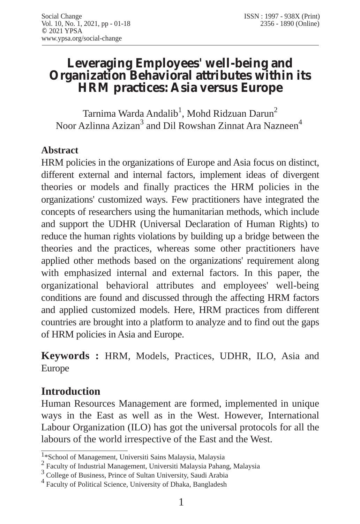# **Leveraging Employees' well-being and Organization Behavioral attributes within its HRM practices: Asia versus Europe**

Tarnima Warda Andalib<sup>1</sup>, Mohd Ridzuan Darun<sup>2</sup> Noor Azlinna Azizan<sup>3</sup> and Dil Rowshan Zinnat Ara Nazneen<sup>4</sup>

#### **Abstract**

HRM policies in the organizations of Europe and Asia focus on distinct, different external and internal factors, implement ideas of divergent theories or models and finally practices the HRM policies in the organizations' customized ways. Few practitioners have integrated the concepts of researchers using the humanitarian methods, which include and support the UDHR (Universal Declaration of Human Rights) to reduce the human rights violations by building up a bridge between the theories and the practices, whereas some other practitioners have applied other methods based on the organizations' requirement along with emphasized internal and external factors. In this paper, the organizational behavioral attributes and employees' well-being conditions are found and discussed through the affecting HRM factors and applied customized models. Here, HRM practices from different countries are brought into a platform to analyze and to find out the gaps of HRM policies in Asia and Europe.

**Keywords :** HRM, Models, Practices, UDHR, ILO, Asia and Europe

## **Introduction**

Human Resources Management are formed, implemented in unique ways in the East as well as in the West. However, International Labour Organization (ILO) has got the universal protocols for all the labours of the world irrespective of the East and the West.

<sup>1\*</sup>School of Management, Universiti Sains Malaysia, Malaysia

<sup>2</sup> Faculty of Industrial Management, Universiti Malaysia Pahang, Malaysia

<sup>3</sup> College of Business, Prince of Sultan University, Saudi Arabia

<sup>4</sup> Faculty of Political Science, University of Dhaka, Bangladesh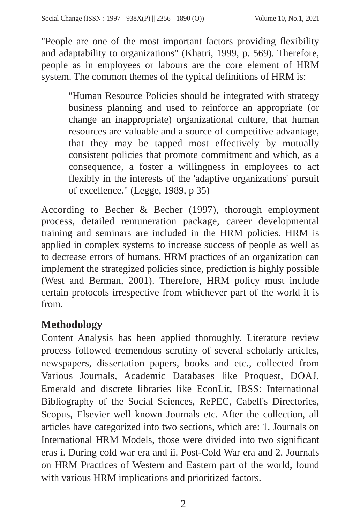"People are one of the most important factors providing flexibility and adaptability to organizations" (Khatri, 1999, p. 569). Therefore, people as in employees or labours are the core element of HRM system. The common themes of the typical definitions of HRM is:

"Human Resource Policies should be integrated with strategy business planning and used to reinforce an appropriate (or change an inappropriate) organizational culture, that human resources are valuable and a source of competitive advantage, that they may be tapped most effectively by mutually consistent policies that promote commitment and which, as a consequence, a foster a willingness in employees to act flexibly in the interests of the 'adaptive organizations' pursuit of excellence." (Legge, 1989, p 35)

According to Becher & Becher (1997), thorough employment process, detailed remuneration package, career developmental training and seminars are included in the HRM policies. HRM is applied in complex systems to increase success of people as well as to decrease errors of humans. HRM practices of an organization can implement the strategized policies since, prediction is highly possible (West and Berman, 2001). Therefore, HRM policy must include certain protocols irrespective from whichever part of the world it is from.

# **Methodology**

Content Analysis has been applied thoroughly. Literature review process followed tremendous scrutiny of several scholarly articles, newspapers, dissertation papers, books and etc., collected from Various Journals, Academic Databases like Proquest, DOAJ, Emerald and discrete libraries like EconLit, IBSS: International Bibliography of the Social Sciences, RePEC, Cabell's Directories, Scopus, Elsevier well known Journals etc. After the collection, all articles have categorized into two sections, which are: 1. Journals on International HRM Models, those were divided into two significant eras i. During cold war era and ii. Post-Cold War era and 2. Journals on HRM Practices of Western and Eastern part of the world, found with various HRM implications and prioritized factors.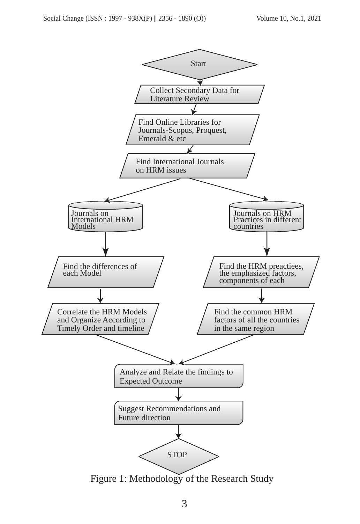

Figure 1: Methodology of the Research Study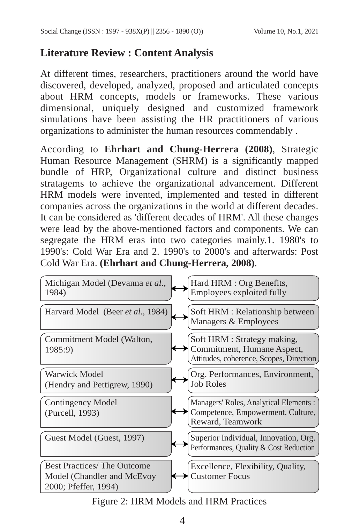## **Literature Review : Content Analysis**

At different times, researchers, practitioners around the world have discovered, developed, analyzed, proposed and articulated concepts about HRM concepts, models or frameworks. These various dimensional, uniquely designed and customized framework simulations have been assisting the HR practitioners of various organizations to administer the human resources commendably .

According to **Ehrhart and Chung-Herrera (2008)**, Strategic Human Resource Management (SHRM) is a significantly mapped bundle of HRP, Organizational culture and distinct business stratagems to achieve the organizational advancement. Different HRM models were invented, implemented and tested in different companies across the organizations in the world at different decades. It can be considered as 'different decades of HRM'. All these changes were lead by the above-mentioned factors and components. We can segregate the HRM eras into two categories mainly.1. 1980's to 1990's: Cold War Era and 2. 1990's to 2000's and afterwards: Post Cold War Era. **(Ehrhart and Chung-Herrera, 2008)**.



Figure 2: HRM Models and HRM Practices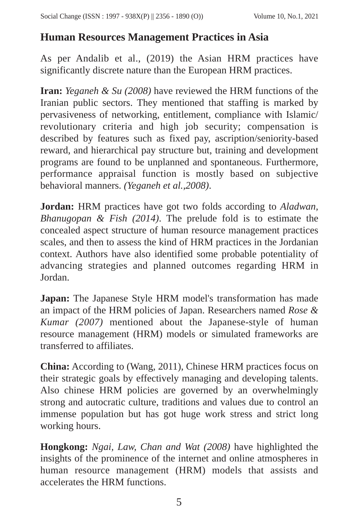## **Human Resources Management Practices in Asia**

As per Andalib et al., (2019) the Asian HRM practices have significantly discrete nature than the European HRM practices.

**Iran:** *Yeganeh & Su (2008)* have reviewed the HRM functions of the Iranian public sectors. They mentioned that staffing is marked by pervasiveness of networking, entitlement, compliance with Islamic/ revolutionary criteria and high job security; compensation is described by features such as fixed pay, ascription/seniority-based reward, and hierarchical pay structure but, training and development programs are found to be unplanned and spontaneous. Furthermore, performance appraisal function is mostly based on subjective behavioral manners. *(Yeganeh et al.,2008)*.

**Jordan:** HRM practices have got two folds according to *Aladwan, Bhanugopan & Fish (2014)*. The prelude fold is to estimate the concealed aspect structure of human resource management practices scales, and then to assess the kind of HRM practices in the Jordanian context. Authors have also identified some probable potentiality of advancing strategies and planned outcomes regarding HRM in Jordan.

**Japan:** The Japanese Style HRM model's transformation has made an impact of the HRM policies of Japan. Researchers named *Rose & Kumar (2007)* mentioned about the Japanese-style of human resource management (HRM) models or simulated frameworks are transferred to affiliates.

**China:** According to (Wang, 2011), Chinese HRM practices focus on their strategic goals by effectively managing and developing talents. Also chinese HRM policies are governed by an overwhelmingly strong and autocratic culture, traditions and values due to control an immense population but has got huge work stress and strict long working hours.

**Hongkong:** *Ngai, Law, Chan and Wat (2008)* have highlighted the insights of the prominence of the internet and online atmospheres in human resource management (HRM) models that assists and accelerates the HRM functions.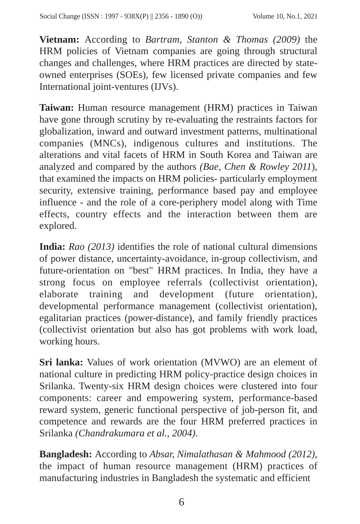**Vietnam:** According to *Bartram, Stanton & Thomas (2009)* the HRM policies of Vietnam companies are going through structural changes and challenges, where HRM practices are directed by stateowned enterprises (SOEs), few licensed private companies and few International joint-ventures (IJVs).

**Taiwan:** Human resource management (HRM) practices in Taiwan have gone through scrutiny by re-evaluating the restraints factors for globalization, inward and outward investment patterns, multinational companies (MNCs), indigenous cultures and institutions. The alterations and vital facets of HRM in South Korea and Taiwan are analyzed and compared by the authors *(Bae, Chen & Rowley 2011*), that examined the impacts on HRM policies- particularly employment security, extensive training, performance based pay and employee influence - and the role of a core-periphery model along with Time effects, country effects and the interaction between them are explored.

**India:** *Rao (2013)* identifies the role of national cultural dimensions of power distance, uncertainty-avoidance, in-group collectivism, and future-orientation on "best" HRM practices. In India, they have a strong focus on employee referrals (collectivist orientation), elaborate training and development (future orientation), developmental performance management (collectivist orientation), egalitarian practices (power-distance), and family friendly practices (collectivist orientation but also has got problems with work load, working hours.

**Sri lanka:** Values of work orientation (MVWO) are an element of national culture in predicting HRM policy-practice design choices in Srilanka. Twenty-six HRM design choices were clustered into four components: career and empowering system, performance-based reward system, generic functional perspective of job-person fit, and competence and rewards are the four HRM preferred practices in Srilanka *(Chandrakumara et al., 2004)*.

**Bangladesh:** According to *Absar, Nimalathasan & Mahmood (2012)*, the impact of human resource management (HRM) practices of manufacturing industries in Bangladesh the systematic and efficient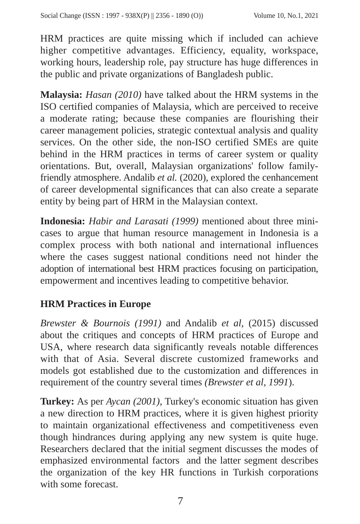HRM practices are quite missing which if included can achieve higher competitive advantages. Efficiency, equality, workspace, working hours, leadership role, pay structure has huge differences in the public and private organizations of Bangladesh public.

**Malaysia:** *Hasan (2010)* have talked about the HRM systems in the ISO certified companies of Malaysia, which are perceived to receive a moderate rating; because these companies are flourishing their career management policies, strategic contextual analysis and quality services. On the other side, the non-ISO certified SMEs are quite behind in the HRM practices in terms of career system or quality orientations. But, overall, Malaysian organizations' follow familyfriendly atmosphere. Andalib *et al.* (2020), explored the cenhancement of career developmental significances that can also create a separate entity by being part of HRM in the Malaysian context.

**Indonesia:** *Habir and Larasati (1999)* mentioned about three minicases to argue that human resource management in Indonesia is a complex process with both national and international influences where the cases suggest national conditions need not hinder the adoption of international best HRM practices focusing on participation, empowerment and incentives leading to competitive behavior.

#### **HRM Practices in Europe**

*Brewster & Bournois (1991)* and Andalib *et al*, (2015) discussed about the critiques and concepts of HRM practices of Europe and USA, where research data significantly reveals notable differences with that of Asia. Several discrete customized frameworks and models got established due to the customization and differences in requirement of the country several times *(Brewster et al, 1991*).

**Turkey:** As per *Aycan (2001)*, Turkey's economic situation has given a new direction to HRM practices, where it is given highest priority to maintain organizational effectiveness and competitiveness even though hindrances during applying any new system is quite huge. Researchers declared that the initial segment discusses the modes of emphasized environmental factors and the latter segment describes the organization of the key HR functions in Turkish corporations with some forecast.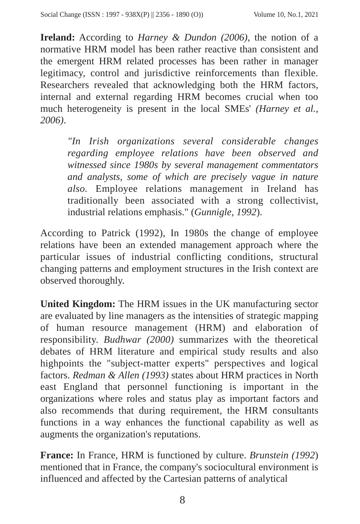**Ireland:** According to *Harney & Dundon (2006)*, the notion of a normative HRM model has been rather reactive than consistent and the emergent HRM related processes has been rather in manager legitimacy, control and jurisdictive reinforcements than flexible. Researchers revealed that acknowledging both the HRM factors, internal and external regarding HRM becomes crucial when too much heterogeneity is present in the local SMEs' *(Harney et al., 2006)*.

*"In Irish organizations several considerable changes regarding employee relations have been observed and witnessed since 1980s by several management commentators and analysts, some of which are precisely vague in nature also.* Employee relations management in Ireland has traditionally been associated with a strong collectivist, industrial relations emphasis." (*Gunnigle, 1992*).

According to Patrick (1992), In 1980s the change of employee relations have been an extended management approach where the particular issues of industrial conflicting conditions, structural changing patterns and employment structures in the Irish context are observed thoroughly.

**United Kingdom:** The HRM issues in the UK manufacturing sector are evaluated by line managers as the intensities of strategic mapping of human resource management (HRM) and elaboration of responsibility. *Budhwar (2000)* summarizes with the theoretical debates of HRM literature and empirical study results and also highpoints the "subject-matter experts" perspectives and logical factors. *Redman & Allen (1993)* states about HRM practices in North east England that personnel functioning is important in the organizations where roles and status play as important factors and also recommends that during requirement, the HRM consultants functions in a way enhances the functional capability as well as augments the organization's reputations.

**France:** In France, HRM is functioned by culture. *Brunstein (1992*) mentioned that in France, the company's sociocultural environment is influenced and affected by the Cartesian patterns of analytical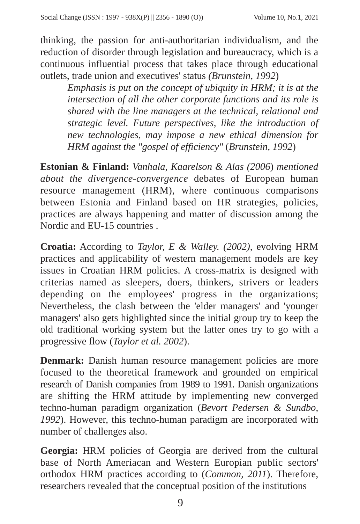thinking, the passion for anti-authoritarian individualism, and the reduction of disorder through legislation and bureaucracy, which is a continuous influential process that takes place through educational outlets, trade union and executives' status *(Brunstein, 1992*)

*Emphasis is put on the concept of ubiquity in HRM; it is at the intersection of all the other corporate functions and its role is shared with the line managers at the technical, relational and strategic level. Future perspectives, like the introduction of new technologies, may impose a new ethical dimension for HRM against the "gospel of efficiency"* (*Brunstein, 1992*)

**Estonian & Finland:** *Vanhala, Kaarelson & Alas (2006*) *mentioned about the divergence-convergence* debates of European human resource management (HRM), where continuous comparisons between Estonia and Finland based on HR strategies, policies, practices are always happening and matter of discussion among the Nordic and EU-15 countries .

**Croatia:** According to *Taylor, E & Walley. (2002)*, evolving HRM practices and applicability of western management models are key issues in Croatian HRM policies. A cross-matrix is designed with criterias named as sleepers, doers, thinkers, strivers or leaders depending on the employees' progress in the organizations; Nevertheless, the clash between the 'elder managers' and 'younger managers' also gets highlighted since the initial group try to keep the old traditional working system but the latter ones try to go with a progressive flow (*Taylor et al. 2002*).

**Denmark:** Danish human resource management policies are more focused to the theoretical framework and grounded on empirical research of Danish companies from 1989 to 1991. Danish organizations are shifting the HRM attitude by implementing new converged techno-human paradigm organization (*Bevort Pedersen & Sundbo, 1992*). However, this techno-human paradigm are incorporated with number of challenges also.

**Georgia:** HRM policies of Georgia are derived from the cultural base of North Ameriacan and Western Europian public sectors' orthodox HRM practices according to (*Common, 2011*). Therefore, researchers revealed that the conceptual position of the institutions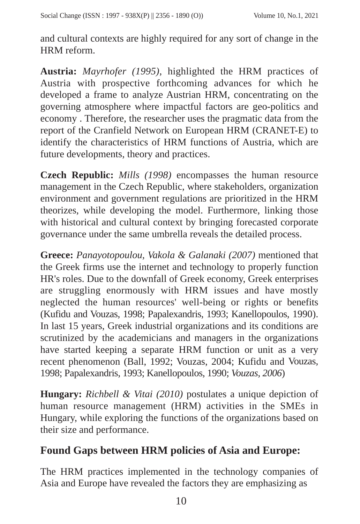and cultural contexts are highly required for any sort of change in the HRM reform.

**Austria:** *Mayrhofer (1995)*, highlighted the HRM practices of Austria with prospective forthcoming advances for which he developed a frame to analyze Austrian HRM, concentrating on the governing atmosphere where impactful factors are geo-politics and economy . Therefore, the researcher uses the pragmatic data from the report of the Cranfield Network on European HRM (CRANET-E) to identify the characteristics of HRM functions of Austria, which are future developments, theory and practices.

**Czech Republic:** *Mills (1998)* encompasses the human resource management in the Czech Republic, where stakeholders, organization environment and government regulations are prioritized in the HRM theorizes, while developing the model. Furthermore, linking those with historical and cultural context by bringing forecasted corporate governance under the same umbrella reveals the detailed process.

**Greece:** *Panayotopoulou, Vakola & Galanaki (2007)* mentioned that the Greek firms use the internet and technology to properly function HR's roles. Due to the downfall of Greek economy, Greek enterprises are struggling enormously with HRM issues and have mostly neglected the human resources' well-being or rights or benefits (Kufidu and Vouzas, 1998; Papalexandris, 1993; Kanellopoulos, 1990). In last 15 years, Greek industrial organizations and its conditions are scrutinized by the academicians and managers in the organizations have started keeping a separate HRM function or unit as a very recent phenomenon (Ball, 1992; Vouzas, 2004; Kufidu and Vouzas, 1998; Papalexandris, 1993; Kanellopoulos, 1990; *Vouzas, 2006*)

**Hungary:** *Richbell & Vitai (2010)* postulates a unique depiction of human resource management (HRM) activities in the SMEs in Hungary, while exploring the functions of the organizations based on their size and performance.

# **Found Gaps between HRM policies of Asia and Europe:**

The HRM practices implemented in the technology companies of Asia and Europe have revealed the factors they are emphasizing as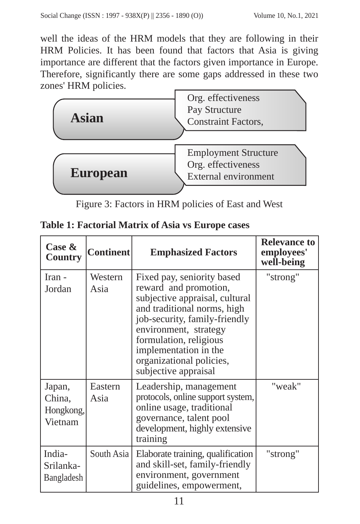well the ideas of the HRM models that they are following in their HRM Policies. It has been found that factors that Asia is giving importance are different that the factors given importance in Europe. Therefore, significantly there are some gaps addressed in these two zones' HRM policies.



Figure 3: Factors in HRM policies of East and West

|  |  |  |  |  |  | <b>Table 1: Factorial Matrix of Asia vs Europe cases</b> |
|--|--|--|--|--|--|----------------------------------------------------------|
|--|--|--|--|--|--|----------------------------------------------------------|

| Case &<br>Country                        | <b>Continent</b> | <b>Emphasized Factors</b>                                                                                                                                                                                                                                                             | <b>Relevance to</b><br>employees'<br>well-being |
|------------------------------------------|------------------|---------------------------------------------------------------------------------------------------------------------------------------------------------------------------------------------------------------------------------------------------------------------------------------|-------------------------------------------------|
| Iran -<br>Jordan                         | Western<br>Asia  | Fixed pay, seniority based<br>reward and promotion,<br>subjective appraisal, cultural<br>and traditional norms, high<br>job-security, family-friendly<br>environment, strategy<br>formulation, religious<br>implementation in the<br>organizational policies,<br>subjective appraisal | "strong"                                        |
| Japan,<br>China,<br>Hongkong,<br>Vietnam | Eastern<br>Asia  | Leadership, management<br>protocols, online support system,<br>online usage, traditional<br>governance, talent pool<br>development, highly extensive<br>training                                                                                                                      | "weak"                                          |
| India-<br>Srilanka-<br>Bangladesh        | South Asia       | Elaborate training, qualification<br>and skill-set, family-friendly<br>environment, government<br>guidelines, empowerment,                                                                                                                                                            | "strong"                                        |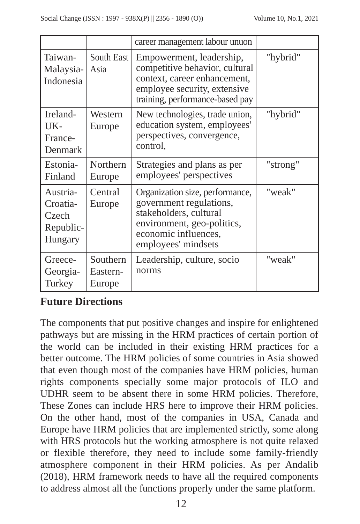|                                                       |                                | career management labour unuon                                                                                                                                    |          |
|-------------------------------------------------------|--------------------------------|-------------------------------------------------------------------------------------------------------------------------------------------------------------------|----------|
| Taiwan-<br>Malaysia-<br>Indonesia                     | South East<br>Asia             | Empowerment, leadership,<br>competitive behavior, cultural<br>context, career enhancement,<br>employee security, extensive<br>training, performance-based pay     | "hybrid" |
| Ireland-<br>UK-<br>France-<br>Denmark                 | Western<br>Europe              | New technologies, trade union,<br>education system, employees'<br>perspectives, convergence,<br>control,                                                          | "hybrid" |
| Estonia-<br>Finland                                   | Northern<br>Europe             | Strategies and plans as per<br>employees' perspectives                                                                                                            | "strong" |
| Austria-<br>Croatia-<br>Czech<br>Republic-<br>Hungary | Central<br>Europe              | Organization size, performance,<br>government regulations,<br>stakeholders, cultural<br>environment, geo-politics,<br>economic influences,<br>employees' mindsets | "weak"   |
| Greece-<br>Georgia-<br>Turkey                         | Southern<br>Eastern-<br>Europe | Leadership, culture, socio<br>norms                                                                                                                               | "weak"   |

## **Future Directions**

The components that put positive changes and inspire for enlightened pathways but are missing in the HRM practices of certain portion of the world can be included in their existing HRM practices for a better outcome. The HRM policies of some countries in Asia showed that even though most of the companies have HRM policies, human rights components specially some major protocols of ILO and UDHR seem to be absent there in some HRM policies. Therefore, These Zones can include HRS here to improve their HRM policies. On the other hand, most of the companies in USA, Canada and Europe have HRM policies that are implemented strictly, some along with HRS protocols but the working atmosphere is not quite relaxed or flexible therefore, they need to include some family-friendly atmosphere component in their HRM policies. As per Andalib (2018), HRM framework needs to have all the required components to address almost all the functions properly under the same platform.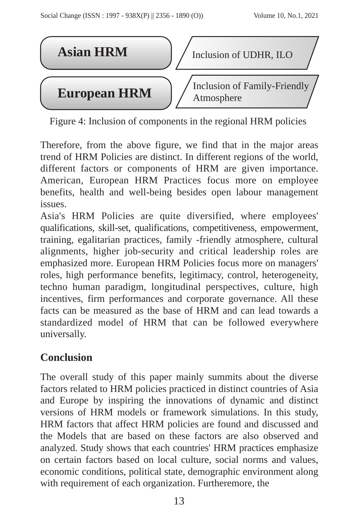

Figure 4: Inclusion of components in the regional HRM policies

Therefore, from the above figure, we find that in the major areas trend of HRM Policies are distinct. In different regions of the world, different factors or components of HRM are given importance. American, European HRM Practices focus more on employee benefits, health and well-being besides open labour management issues.

Asia's HRM Policies are quite diversified, where employees' qualifications, skill-set, qualifications, competitiveness, empowerment, training, egalitarian practices, family -friendly atmosphere, cultural alignments, higher job-security and critical leadership roles are emphasized more. European HRM Policies focus more on managers' roles, high performance benefits, legitimacy, control, heterogeneity, techno human paradigm, longitudinal perspectives, culture, high incentives, firm performances and corporate governance. All these facts can be measured as the base of HRM and can lead towards a standardized model of HRM that can be followed everywhere universally.

# **Conclusion**

The overall study of this paper mainly summits about the diverse factors related to HRM policies practiced in distinct countries of Asia and Europe by inspiring the innovations of dynamic and distinct versions of HRM models or framework simulations. In this study, HRM factors that affect HRM policies are found and discussed and the Models that are based on these factors are also observed and analyzed. Study shows that each countries' HRM practices emphasize on certain factors based on local culture, social norms and values, economic conditions, political state, demographic environment along with requirement of each organization. Furtheremore, the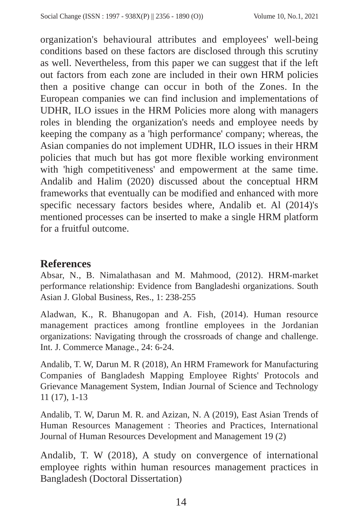organization's behavioural attributes and employees' well-being conditions based on these factors are disclosed through this scrutiny as well. Nevertheless, from this paper we can suggest that if the left out factors from each zone are included in their own HRM policies then a positive change can occur in both of the Zones. In the European companies we can find inclusion and implementations of UDHR, ILO issues in the HRM Policies more along with managers roles in blending the organization's needs and employee needs by keeping the company as a 'high performance' company; whereas, the Asian companies do not implement UDHR, ILO issues in their HRM policies that much but has got more flexible working environment with 'high competitiveness' and empowerment at the same time. Andalib and Halim (2020) discussed about the conceptual HRM frameworks that eventually can be modified and enhanced with more specific necessary factors besides where, Andalib et. Al (2014)'s mentioned processes can be inserted to make a single HRM platform for a fruitful outcome.

#### **References**

Absar, N., B. Nimalathasan and M. Mahmood, (2012). HRM-market performance relationship: Evidence from Bangladeshi organizations. South Asian J. Global Business, Res., 1: 238-255

Aladwan, K., R. Bhanugopan and A. Fish, (2014). Human resource management practices among frontline employees in the Jordanian organizations: Navigating through the crossroads of change and challenge. Int. J. Commerce Manage., 24: 6-24.

Andalib, T. W, Darun M. R (2018), An HRM Framework for Manufacturing Companies of Bangladesh Mapping Employee Rights' Protocols and Grievance Management System, Indian Journal of Science and Technology 11 (17), 1-13

Andalib, T. W, Darun M. R. and Azizan, N. A (2019), East Asian Trends of Human Resources Management : Theories and Practices, International Journal of Human Resources Development and Management 19 (2)

Andalib, T. W (2018), A study on convergence of international employee rights within human resources management practices in Bangladesh (Doctoral Dissertation)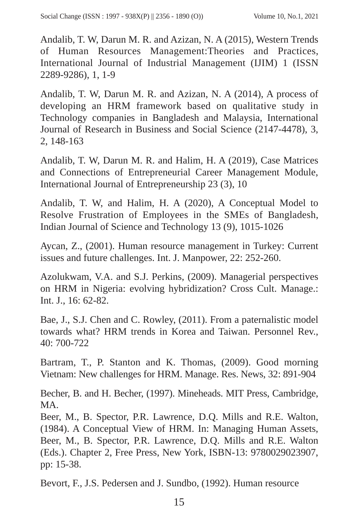Andalib, T. W, Darun M. R. and Azizan, N. A (2015), Western Trends of Human Resources Management:Theories and Practices, International Journal of Industrial Management (IJIM) 1 (ISSN 2289-9286), 1, 1-9

Andalib, T. W, Darun M. R. and Azizan, N. A (2014), A process of developing an HRM framework based on qualitative study in Technology companies in Bangladesh and Malaysia, International Journal of Research in Business and Social Science (2147-4478), 3, 2, 148-163

Andalib, T. W, Darun M. R. and Halim, H. A (2019), Case Matrices and Connections of Entrepreneurial Career Management Module, International Journal of Entrepreneurship 23 (3), 10

Andalib, T. W, and Halim, H. A (2020), A Conceptual Model to Resolve Frustration of Employees in the SMEs of Bangladesh, Indian Journal of Science and Technology 13 (9), 1015-1026

Aycan, Z., (2001). Human resource management in Turkey: Current issues and future challenges. Int. J. Manpower, 22: 252-260.

Azolukwam, V.A. and S.J. Perkins, (2009). Managerial perspectives on HRM in Nigeria: evolving hybridization? Cross Cult. Manage.: Int. J., 16: 62-82.

Bae, J., S.J. Chen and C. Rowley, (2011). From a paternalistic model towards what? HRM trends in Korea and Taiwan. Personnel Rev., 40: 700-722

Bartram, T., P. Stanton and K. Thomas, (2009). Good morning Vietnam: New challenges for HRM. Manage. Res. News, 32: 891-904

Becher, B. and H. Becher, (1997). Mineheads. MIT Press, Cambridge, MA.

Beer, M., B. Spector, P.R. Lawrence, D.Q. Mills and R.E. Walton, (1984). A Conceptual View of HRM. In: Managing Human Assets, Beer, M., B. Spector, P.R. Lawrence, D.Q. Mills and R.E. Walton (Eds.). Chapter 2, Free Press, New York, ISBN-13: 9780029023907, pp: 15-38.

Bevort, F., J.S. Pedersen and J. Sundbo, (1992). Human resource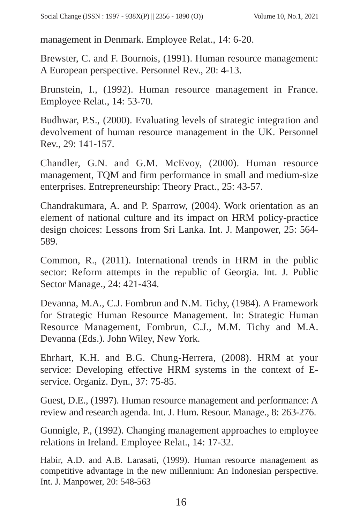management in Denmark. Employee Relat., 14: 6-20.

Brewster, C. and F. Bournois, (1991). Human resource management: A European perspective. Personnel Rev., 20: 4-13.

Brunstein, I., (1992). Human resource management in France. Employee Relat., 14: 53-70.

Budhwar, P.S., (2000). Evaluating levels of strategic integration and devolvement of human resource management in the UK. Personnel Rev., 29: 141-157.

Chandler, G.N. and G.M. McEvoy, (2000). Human resource management, TQM and firm performance in small and medium-size enterprises. Entrepreneurship: Theory Pract., 25: 43-57.

Chandrakumara, A. and P. Sparrow, (2004). Work orientation as an element of national culture and its impact on HRM policy-practice design choices: Lessons from Sri Lanka. Int. J. Manpower, 25: 564- 589.

Common, R., (2011). International trends in HRM in the public sector: Reform attempts in the republic of Georgia. Int. J. Public Sector Manage., 24: 421-434.

Devanna, M.A., C.J. Fombrun and N.M. Tichy, (1984). A Framework for Strategic Human Resource Management. In: Strategic Human Resource Management, Fombrun, C.J., M.M. Tichy and M.A. Devanna (Eds.). John Wiley, New York.

Ehrhart, K.H. and B.G. Chung-Herrera, (2008). HRM at your service: Developing effective HRM systems in the context of Eservice. Organiz. Dyn., 37: 75-85.

Guest, D.E., (1997). Human resource management and performance: A review and research agenda. Int. J. Hum. Resour. Manage., 8: 263-276.

Gunnigle, P., (1992). Changing management approaches to employee relations in Ireland. Employee Relat., 14: 17-32.

Habir, A.D. and A.B. Larasati, (1999). Human resource management as competitive advantage in the new millennium: An Indonesian perspective. Int. J. Manpower, 20: 548-563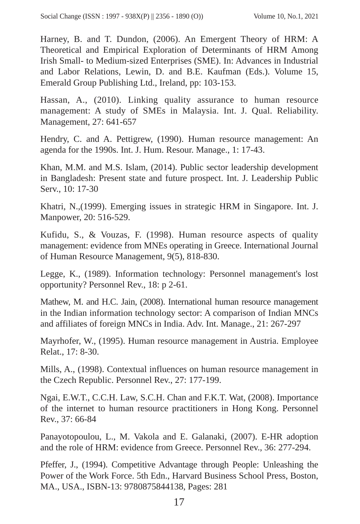Harney, B. and T. Dundon, (2006). An Emergent Theory of HRM: A Theoretical and Empirical Exploration of Determinants of HRM Among Irish Small- to Medium-sized Enterprises (SME). In: Advances in Industrial and Labor Relations, Lewin, D. and B.E. Kaufman (Eds.). Volume 15, Emerald Group Publishing Ltd., Ireland, pp: 103-153.

Hassan, A., (2010). Linking quality assurance to human resource management: A study of SMEs in Malaysia. Int. J. Qual. Reliability. Management, 27: 641-657

Hendry, C. and A. Pettigrew, (1990). Human resource management: An agenda for the 1990s. Int. J. Hum. Resour. Manage., 1: 17-43.

Khan, M.M. and M.S. Islam, (2014). Public sector leadership development in Bangladesh: Present state and future prospect. Int. J. Leadership Public Serv., 10: 17-30

Khatri, N.,(1999). Emerging issues in strategic HRM in Singapore. Int. J. Manpower, 20: 516-529.

Kufidu, S., & Vouzas, F. (1998). Human resource aspects of quality management: evidence from MNEs operating in Greece. International Journal of Human Resource Management, 9(5), 818-830.

Legge, K., (1989). Information technology: Personnel management's lost opportunity? Personnel Rev., 18: p 2-61.

Mathew, M. and H.C. Jain, (2008). International human resource management in the Indian information technology sector: A comparison of Indian MNCs and affiliates of foreign MNCs in India. Adv. Int. Manage., 21: 267-297

Mayrhofer, W., (1995). Human resource management in Austria. Employee Relat., 17: 8-30.

Mills, A., (1998). Contextual influences on human resource management in the Czech Republic. Personnel Rev., 27: 177-199.

Ngai, E.W.T., C.C.H. Law, S.C.H. Chan and F.K.T. Wat, (2008). Importance of the internet to human resource practitioners in Hong Kong. Personnel Rev., 37: 66-84

Panayotopoulou, L., M. Vakola and E. Galanaki, (2007). E-HR adoption and the role of HRM: evidence from Greece. Personnel Rev., 36: 277-294.

Pfeffer, J., (1994). Competitive Advantage through People: Unleashing the Power of the Work Force. 5th Edn., Harvard Business School Press, Boston, MA., USA., ISBN-13: 9780875844138, Pages: 281